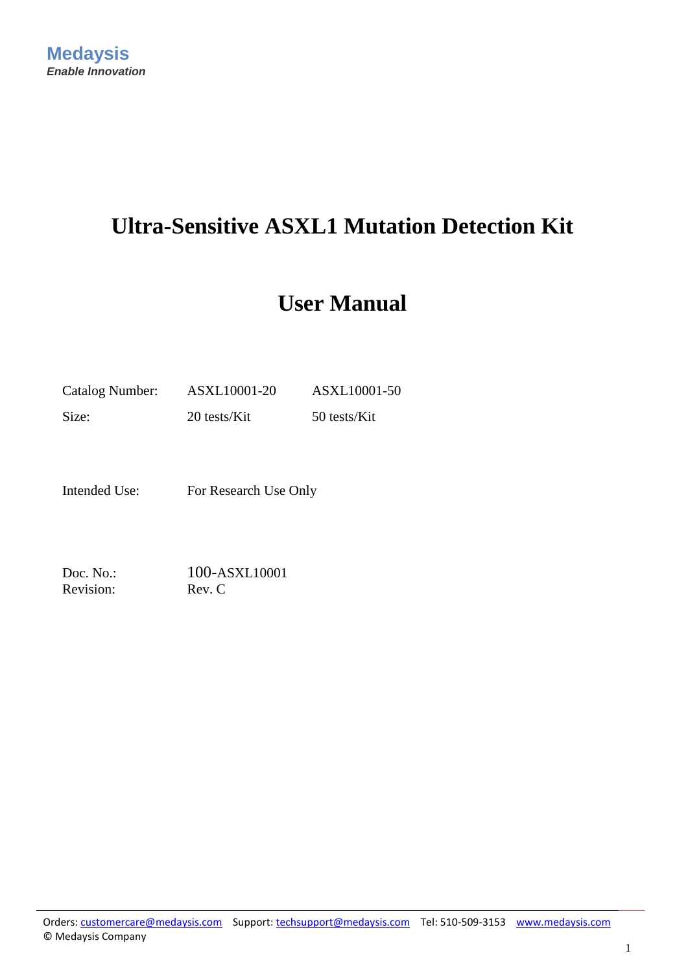# **Ultra-Sensitive ASXL1 Mutation Detection Kit**

# **User Manual**

Catalog Number: ASXL10001-20 ASXL10001-50 Size: 20 tests/Kit 50 tests/Kit

Intended Use: For Research Use Only

Doc. No.: 100-ASXL10001 Revision: Rev. C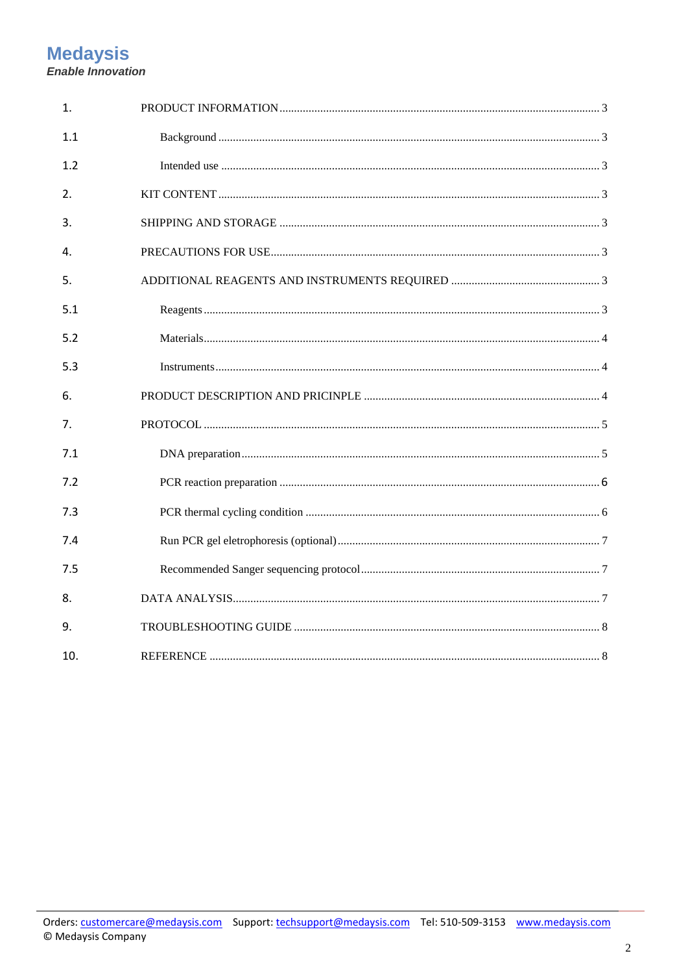# **Medaysis**<br>**Enable Innovation**

| 1.  |  |
|-----|--|
| 1.1 |  |
| 1.2 |  |
| 2.  |  |
| 3.  |  |
| 4.  |  |
| 5.  |  |
| 5.1 |  |
| 5.2 |  |
| 5.3 |  |
| 6.  |  |
| 7.  |  |
| 7.1 |  |
| 7.2 |  |
| 7.3 |  |
| 7.4 |  |
| 7.5 |  |
| 8.  |  |
| 9.  |  |
|     |  |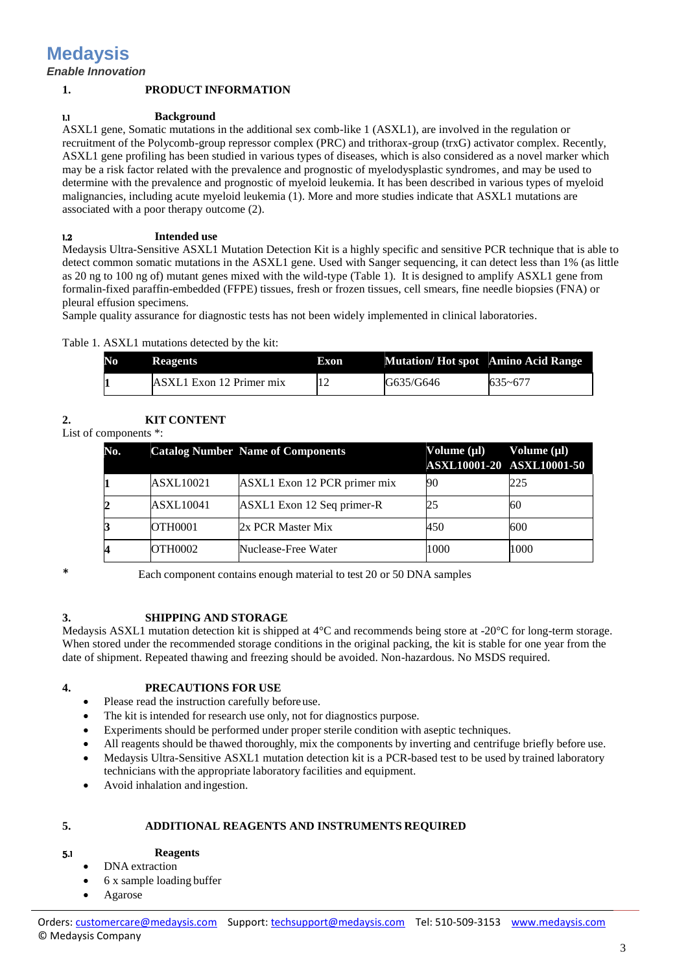# **Medaysis**

*Enable Innovation*

#### <span id="page-2-0"></span>**1. PRODUCT INFORMATION**

#### <span id="page-2-1"></span>1.1 **Background**

ASXL1 gene, Somatic mutations in the additional sex comb-like 1 (ASXL1), are involved in the regulation or recruitment of the Polycomb-group repressor complex (PRC) and trithorax-group (trxG) activator complex. Recently, ASXL1 gene profiling has been studied in various types of diseases, which is also considered as a novel marker which may be a risk factor related with the prevalence and prognostic of myelodysplastic syndromes, and may be used to determine with the prevalence and prognostic of myeloid leukemia. It has been described in various types of myeloid malignancies, including acute myeloid leukemia (1). More and more studies indicate that ASXL1 mutations are associated with a poor therapy outcome (2).

#### <span id="page-2-2"></span>1.2 **Intended use**

Medaysis Ultra-Sensitive ASXL1 Mutation Detection Kit is a highly specific and sensitive PCR technique that is able to detect common somatic mutations in the ASXL1 gene. Used with Sanger sequencing, it can detect less than 1% (as little as 20 ng to 100 ng of) mutant genes mixed with the wild-type (Table 1). It is designed to amplify ASXL1 gene from formalin-fixed paraffin-embedded (FFPE) tissues, fresh or frozen tissues, cell smears, fine needle biopsies (FNA) or pleural effusion specimens.

Sample quality assurance for diagnostic tests has not been widely implemented in clinical laboratories.

#### Table 1. ASXL1 mutations detected by the kit:

| No | <b>Reagents</b>          | Exon | <b>Mutation/Hot spot</b> Amino Acid Range |             |
|----|--------------------------|------|-------------------------------------------|-------------|
|    | ASXL1 Exon 12 Primer mix |      | G635/G646                                 | $635 - 677$ |

#### <span id="page-2-3"></span>**2. KIT CONTENT**

List of components \*:

| No. |                  | <b>Catalog Number Name of Components</b> | Volume (µl)<br>ASXL10001-20 ASXL10001-50 | Volume $(\mu l)$ |
|-----|------------------|------------------------------------------|------------------------------------------|------------------|
|     | <b>ASXL10021</b> | ASXL1 Exon 12 PCR primer mix             | 90                                       | 225              |
|     | ASXL10041        | ASXL1 Exon 12 Seq primer-R               | 25                                       | 60               |
|     | <b>OTH0001</b>   | 2x PCR Master Mix                        | 450                                      | 600              |
|     | <b>OTH0002</b>   | Nuclease-Free Water                      | 1000                                     | 1000             |

\* Each component contains enough material to test 20 or 50 DNA samples

#### <span id="page-2-4"></span>**3. SHIPPING AND STORAGE**

Medaysis ASXL1 mutation detection kit is shipped at 4<sup>°</sup>C and recommends being store at -20<sup>°</sup>C for long-term storage. When stored under the recommended storage conditions in the original packing, the kit is stable for one year from the date of shipment. Repeated thawing and freezing should be avoided. Non-hazardous. No MSDS required.

#### <span id="page-2-5"></span>**4. PRECAUTIONS FOR USE**

- Please read the instruction carefully beforeuse.
- The kit is intended for research use only, not for diagnostics purpose.
- Experiments should be performed under proper sterile condition with aseptic techniques.
- All reagents should be thawed thoroughly, mix the components by inverting and centrifuge briefly before use.
- Medaysis Ultra-Sensitive ASXL1 mutation detection kit is a PCR-based test to be used by trained laboratory technicians with the appropriate laboratory facilities and equipment.
- Avoid inhalation and ingestion.

#### <span id="page-2-6"></span>**5. ADDITIONAL REAGENTS AND INSTRUMENTS REQUIRED**

#### <span id="page-2-7"></span>5.1 **Reagents**

- DNA extraction
- 6 x sample loading buffer
- Agarose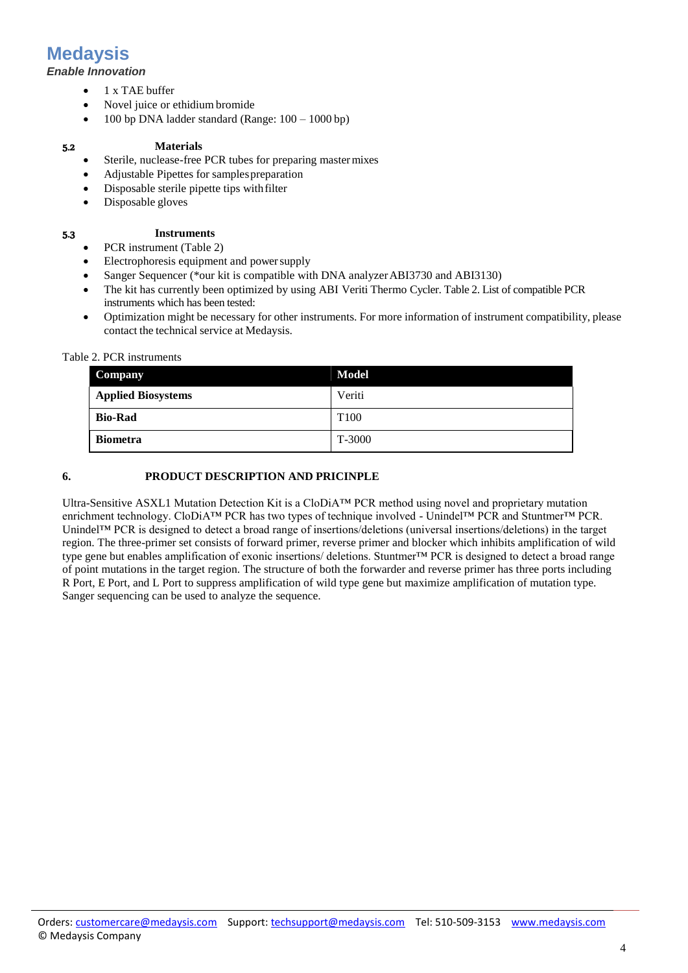# **Medaysis**

#### *Enable Innovation*

- 1 x TAE buffer
- Novel juice or ethidium bromide
- $\bullet$  100 bp DNA ladder standard (Range:  $100 1000$  bp)

#### <span id="page-3-0"></span>5.2 **Materials**

- Sterile, nuclease-free PCR tubes for preparing mastermixes
- Adjustable Pipettes for samplespreparation
- Disposable sterile pipette tips withfilter
- Disposable gloves

#### <span id="page-3-1"></span>5.3 **Instruments**

- PCR instrument (Table 2)
- Electrophoresis equipment and powersupply
- Sanger Sequencer (\*our kit is compatible with DNA analyzerABI3730 and ABI3130)
- The kit has currently been optimized by using ABI Veriti Thermo Cycler. Table 2. List of compatible PCR instruments which has been tested:
- Optimization might be necessary for other instruments. For more information of instrument compatibility, please contact the technical service at Medaysis.

#### Table 2. PCR instruments

| Company                   | <b>Model</b>     |
|---------------------------|------------------|
| <b>Applied Biosystems</b> | Veriti           |
| <b>Bio-Rad</b>            | T <sub>100</sub> |
| <b>Biometra</b>           | T-3000           |

#### <span id="page-3-2"></span>**6. PRODUCT DESCRIPTION AND PRICINPLE**

Ultra-Sensitive ASXL1 Mutation Detection Kit is a CloDiA™ PCR method using novel and proprietary mutation enrichment technology. CloDiA™ PCR has two types of technique involved - Unindel™ PCR and Stuntmer™ PCR. Unindel™ PCR is designed to detect a broad range of insertions/deletions (universal insertions/deletions) in the target region. The three-primer set consists of forward primer, reverse primer and blocker which inhibits amplification of wild type gene but enables amplification of exonic insertions/ deletions. Stuntmer™ PCR is designed to detect a broad range of point mutations in the target region. The structure of both the forwarder and reverse primer has three ports including R Port, E Port, and L Port to suppress amplification of wild type gene but maximize amplification of mutation type. Sanger sequencing can be used to analyze the sequence.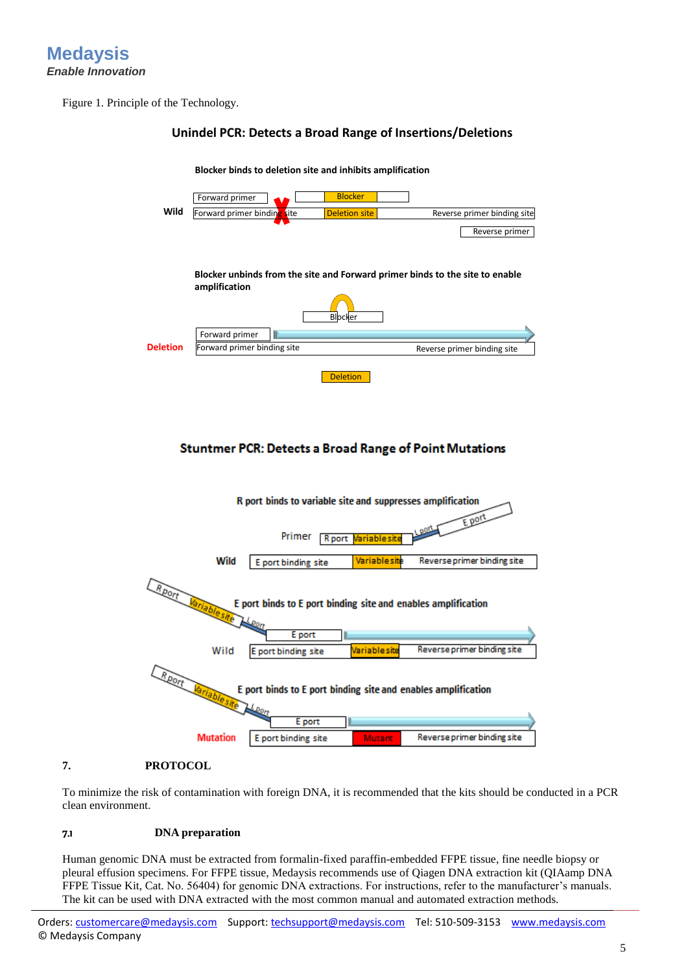

Figure 1. Principle of the Technology.

#### **Unindel PCR: Detects a Broad Range of Insertions/Deletions**



#### **Stuntmer PCR: Detects a Broad Range of Point Mutations**

<span id="page-4-0"></span>

#### **7. PROTOCOL**

To minimize the risk of contamination with foreign DNA, it is recommended that the kits should be conducted in a PCR clean environment.

#### <span id="page-4-1"></span>7.1 **DNA preparation**

Human genomic DNA must be extracted from formalin-fixed paraffin-embedded FFPE tissue, fine needle biopsy or pleural effusion specimens. For FFPE tissue, Medaysis recommends use of Qiagen DNA extraction kit (QIAamp DNA FFPE Tissue Kit, Cat. No. 56404) for genomic DNA extractions. For instructions, refer to the manufacturer's manuals. The kit can be used with DNA extracted with the most common manual and automated extraction methods.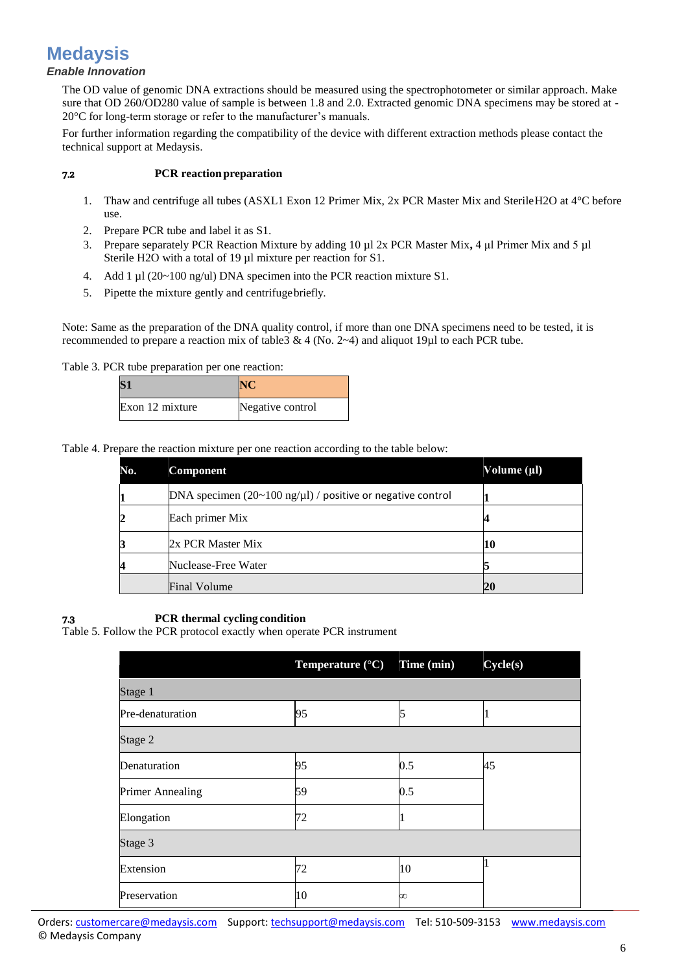# **Medaysis**

#### *Enable Innovation*

The OD value of genomic DNA extractions should be measured using the spectrophotometer or similar approach. Make sure that OD 260/OD280 value of sample is between 1.8 and 2.0. Extracted genomic DNA specimens may be stored at -20°C for long-term storage or refer to the manufacturer's manuals.

For further information regarding the compatibility of the device with different extraction methods please contact the technical support at Medaysis.

#### 7.2 **PCR reaction preparation**

- 1. Thaw and centrifuge all tubes (ASXL1 Exon 12 Primer Mix, 2x PCR Master Mix and SterileH2O at 4°C before use.
- 2. Prepare PCR tube and label it as S1.
- 3. Prepare separately PCR Reaction Mixture by adding 10 µl 2x PCR Master Mix**,** 4 μl Primer Mix and 5 µl Sterile H2O with a total of 19 µl mixture per reaction for S1.
- 4. Add 1 µl (20~100 ng/ul) DNA specimen into the PCR reaction mixture S1.
- 5. Pipette the mixture gently and centrifugebriefly.

Note: Same as the preparation of the DNA quality control, if more than one DNA specimens need to be tested, it is recommended to prepare a reaction mix of table  $3 \& 4$  (No. 2~4) and aliquot 19µl to each PCR tube.

<span id="page-5-0"></span>Table 3. PCR tube preparation per one reaction:

| Exon 12 mixture | Negative control |
|-----------------|------------------|

Table 4. Prepare the reaction mixture per one reaction according to the table below:

| No. | Component                                                                    | Volume $($ µl $)$ |
|-----|------------------------------------------------------------------------------|-------------------|
|     | DNA specimen $(20~100~\text{ng}/\text{\mu}l)$ / positive or negative control |                   |
|     | Each primer Mix                                                              |                   |
|     | 2x PCR Master Mix                                                            | 10                |
|     | Nuclease-Free Water                                                          |                   |
|     | Final Volume                                                                 | 20                |

#### <span id="page-5-1"></span>7.3 **PCR thermal cycling condition**

Table 5. Follow the PCR protocol exactly when operate PCR instrument

|                         | <b>Temperature</b> $(^{\circ}C)$ <b>Time (min)</b> |          | Cycle(s) |
|-------------------------|----------------------------------------------------|----------|----------|
| Stage 1                 |                                                    |          |          |
| Pre-denaturation        | 95                                                 | 5        |          |
| Stage 2                 |                                                    |          |          |
| Denaturation            | 95                                                 | 0.5      | 45       |
| <b>Primer Annealing</b> | 59                                                 | 0.5      |          |
| Elongation              | 72                                                 |          |          |
| Stage 3                 |                                                    |          |          |
| Extension               | 72                                                 | 10       |          |
| Preservation            | 10                                                 | $\infty$ |          |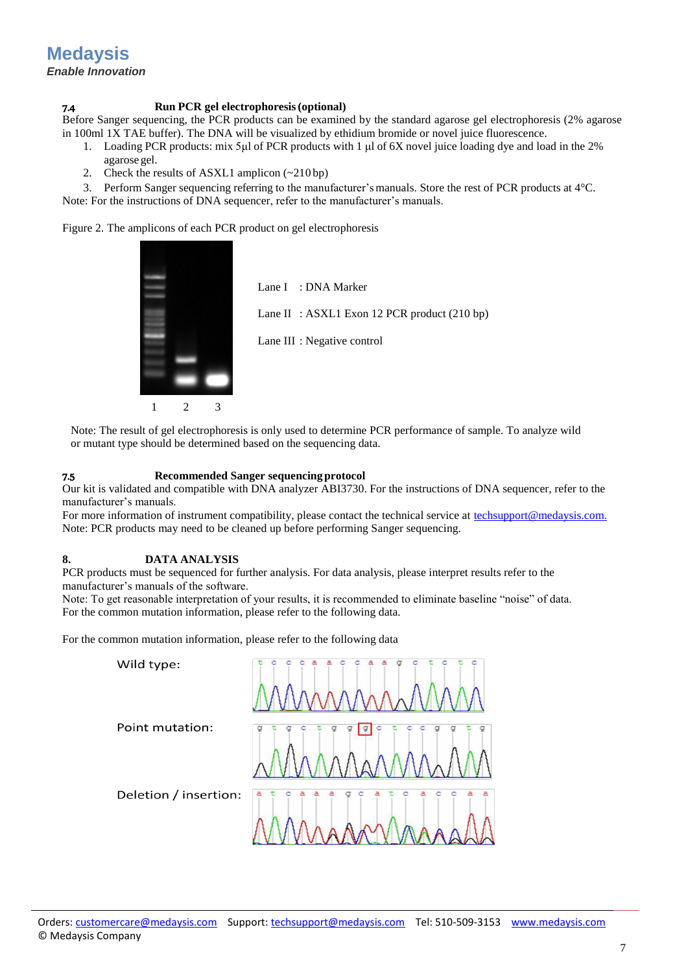#### **Medaysis** *Enable Innovation*

#### <span id="page-6-0"></span>7.4 **Run PCR gel electrophoresis(optional)**

Before Sanger sequencing, the PCR products can be examined by the standard agarose gel electrophoresis (2% agarose in 100ml 1X TAE buffer). The DNA will be visualized by ethidium bromide or novel juice fluorescence.

- 1. Loading PCR products: mix 5μl of PCR products with 1 μl of 6X novel juice loading dye and load in the 2% agarose gel.
- 2. Check the results of ASXL1 amplicon (~210 bp)
- 3. Perform Sanger sequencing referring to the manufacturer'smanuals. Store the rest of PCR products at 4°C.
- Note: For the instructions of DNA sequencer, refer to the manufacturer's manuals.

Figure 2. The amplicons of each PCR product on gel electrophoresis



Note: The result of gel electrophoresis is only used to determine PCR performance of sample. To analyze wild or mutant type should be determined based on the sequencing data.

#### <span id="page-6-1"></span>7.5 **Recommended Sanger sequencingprotocol**

Our kit is validated and compatible with DNA analyzer ABI3730. For the instructions of DNA sequencer, refer to the manufacturer's manuals.

For more information of instrument compatibility, please contact the technical service at [techsupport@medaysis.com.](mailto:techsupport@medaysis.com) Note: PCR products may need to be cleaned up before performing Sanger sequencing.

#### <span id="page-6-2"></span>**8. DATA ANALYSIS**

PCR products must be sequenced for further analysis. For data analysis, please interpret results refer to the manufacturer's manuals of the software.

Note: To get reasonable interpretation of your results, it is recommended to eliminate baseline "noise" of data. For the common mutation information, please refer to the following data.

For the common mutation information, please refer to the following data

Wild type:

Point mutation:

Deletion / insertion: